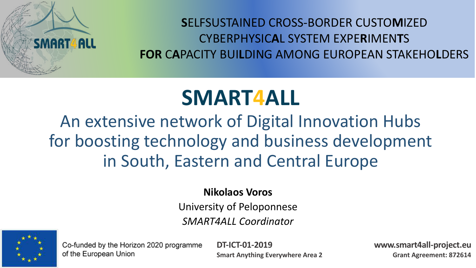

**S**ELFSUSTAINED CROSS-BORDER CUSTO**M**IZED CYBERPHYSIC**A**L SYSTEM EXPE**R**IMEN**T**S **FOR** C**A**PACITY BUI**L**DING AMONG EUROPEAN STAKEHO**L**DERS

### **SMART4ALL**

### An extensive network of Digital Innovation Hubs for boosting technology and business development in South, Eastern and Central Europe

#### **Nikolaos Voros**

University of Peloponnese *SMART4ALL Coordinator*



Co-funded by the Horizon 2020 programme of the European Union

**DT-ICT-01-2019 Smart Anything Everywhere Area 2** **www.smart4all-project.eu Grant Agreement: 872614**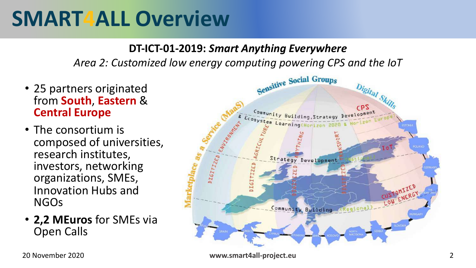### **SMART4ALL Overview**

#### **DT-ICT-01-2019:** *Smart Anything Everywhere*

*Area 2: Customized low energy computing powering CPS and the IoT*

- 25 partners originated from **South**, **Eastern** & **Central Europe**
- The consortium is composed of universities, research institutes, investors, networking organizations, SMEs, Innovation Hubs and NGOs
- **2,2 MEuros** for SMEs via Open Calls

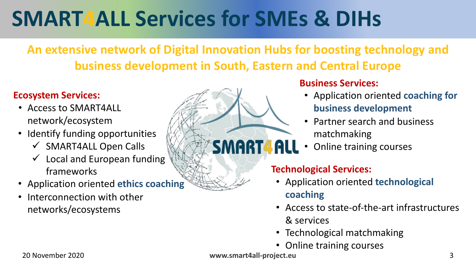# **SMART4ALL Services for SMEs & DIHs**

### **An extensive network of Digital Innovation Hubs for boosting technology and business development in South, Eastern and Central Europe**

#### **Ecosystem Services:**

- Access to SMART4ALL network/ecosystem
- Identify funding opportunities
	- $\checkmark$  SMART4ALL Open Calls
	- $\checkmark$  Local and European funding frameworks
- Application oriented **ethics coaching**
- Interconnection with other networks/ecosystems



- Application oriented **coaching for business development**
- Partner search and business matchmaking
- Online training courses

#### **Technological Services:**

- Application oriented **technological coaching**
- Access to state-of-the-art infrastructures & services
- Technological matchmaking
- Online training courses

SMART4AL